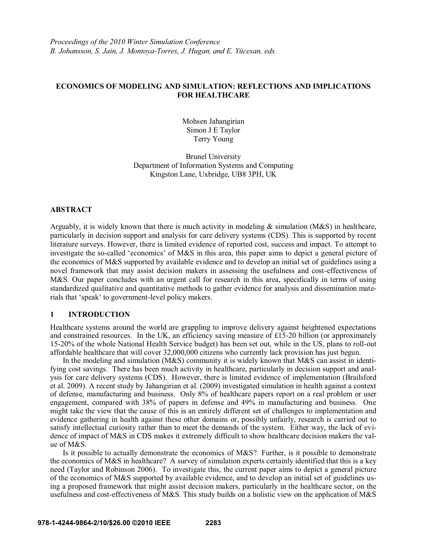# **ECONOMICS OF MODELING AND SIMULATION: REFLECTIONS AND IMPLICATIONS FOR HEALTHCARE**

Mohsen Jahangirian Simon J E Taylor Terry Young

Brunel University Department of Information Systems and Computing Kingston Lane, Uxbridge, UB8 3PH, UK

#### **ABSTRACT**

Arguably, it is widely known that there is much activity in modeling  $\&$  simulation (M&S) in healthcare, particularly in decision support and analysis for care delivery systems (CDS). This is supported by recent literature surveys. However, there is limited evidence of reported cost, success and impact. To attempt to investigate the so-called 'economics' of M&S in this area, this paper aims to depict a general picture of the economics of M&S supported by available evidence and to develop an initial set of guidelines using a novel framework that may assist decision makers in assessing the usefulness and cost-effectiveness of M&S. Our paper concludes with an urgent call for research in this area, specifically in terms of using standardized qualitative and quantitative methods to gather evidence for analysis and dissemination mate rials that 'speak' to government-level policy makers.

# **1 INTRODUCTION**

Healthcare systems around the world are grappling to improve delivery against heightened expectations and constrained resources. In the UK, an efficiency saving measure of £15-20 billion (or approximately 15-20% of the whole National Health Service budget) has been set out, while in the US, plans to roll-out affordable healthcare that will cover 32,000,000 citizens who currently lack provision has just begun.

In the modeling and simulation (M&S) community it is widely known that M&S can assist in identifying cost savings. There has been much activity in healthcare, particularly in decision support and analysis for care delivery systems (CDS). However, there is limited evidence of implementation (Brailsford et al. 2009). A recent study by Jahangirian et al. (2009) investigated simulation in health against a context of defense, manufacturing and business. Only 8% of healthcare papers report on a real problem or user engagement, compared with 38% of papers in defense and 49% in manufacturing and business. One might take the view that the cause of this is an entirely different set of challenges to implementation and evidence gathering in health against these other domains or, possibly unfairly, research is carried out to satisfy intellectual curiosity rather than to meet the demands of the system. Either way, the lack of evidence of impact of M&S in CDS makes it extremely difficult to show healthcare decision makers the value of M&S.

Is it possible to actually demonstrate the economics of M&S? Further, is it possible to demonstrate the economics of M&S in healthcare? A survey of simulation experts certainly identified that this is a key need (Taylor and Robinson 2006). To investigate this, the current paper aims to depict a general picture of the economics of M&S supported by available evidence, and to develop an initial set of guidelines using a proposed framework that might assist decision makers, particularly in the healthcare sector, on the usefulness and cost-effectiveness of M&S. This study builds on a holistic view on the application of M&S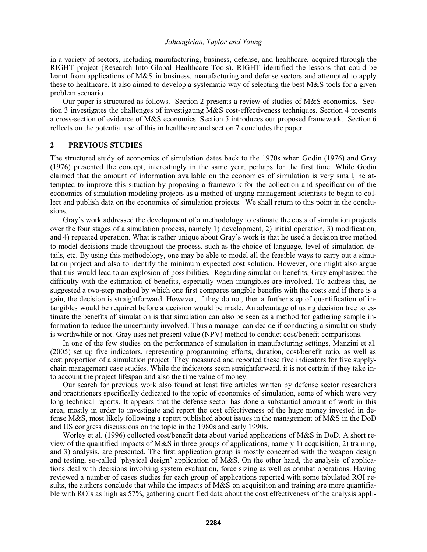in a variety of sectors, including manufacturing, business, defense, and healthcare, acquired through the RIGHT project (Research Into Global Healthcare Tools). RIGHT identified the lessons that could be learnt from applications of M&S in business, manufacturing and defense sectors and attempted to apply these to healthcare. It also aimed to develop a systematic way of selecting the best M&S tools for a given problem scenario.

 Our paper is structured as follows. Section 2 presents a review of studies of M&S economics. Section 3 investigates the challenges of investigating M&S cost-effectiveness techniques. Section 4 presents a cross-section of evidence of M&S economics. Section 5 introduces our proposed framework. Section 6 reflects on the potential use of this in healthcare and section 7 concludes the paper.

### **2 PREVIOUS STUDIES**

The structured study of economics of simulation dates back to the 1970s when Godin (1976) and Gray (1976) presented the concept, interestingly in the same year, perhaps for the first time. While Godin claimed that the amount of information available on the economics of simulation is very small, he attempted to improve this situation by proposing a framework for the collection and specification of the economics of simulation modeling projects as a method of urging management scientists to begin to collect and publish data on the economics of simulation projects. We shall return to this point in the conclusions.

Gray's work addressed the development of a methodology to estimate the costs of simulation projects over the four stages of a simulation process, namely 1) development, 2) initial operation, 3) modification, and 4) repeated operation. What is rather unique about Gray's work is that he used a decision tree method to model decisions made throughout the process, such as the choice of language, level of simulation details, etc. By using this methodology, one may be able to model all the feasible ways to carry out a simulation project and also to identify the minimum expected cost solution. However, one might also argue that this would lead to an explosion of possibilities. Regarding simulation benefits, Gray emphasized the difficulty with the estimation of benefits, especially when intangibles are involved. To address this, he suggested a two-step method by which one first compares tangible benefits with the costs and if there is a gain, the decision is straightforward. However, if they do not, then a further step of quantification of intangibles would be required before a decision would be made. An advantage of using decision tree to estimate the benefits of simulation is that simulation can also be seen as a method for gathering sample information to reduce the uncertainty involved. Thus a manager can decide if conducting a simulation study is worthwhile or not. Gray uses net present value (NPV) method to conduct cost/benefit comparisons.

 In one of the few studies on the performance of simulation in manufacturing settings, Manzini et al. (2005) set up five indicators, representing programming efforts, duration, cost/benefit ratio, as well as cost proportion of a simulation project. They measured and reported these five indicators for five supplychain management case studies. While the indicators seem straightforward, it is not certain if they take into account the project lifespan and also the time value of money.

 Our search for previous work also found at least five articles written by defense sector researchers and practitioners specifically dedicated to the topic of economics of simulation, some of which were very long technical reports. It appears that the defense sector has done a substantial amount of work in this area, mostly in order to investigate and report the cost effectiveness of the huge money invested in defense M&S, most likely following a report published about issues in the management of M&S in the DoD and US congress discussions on the topic in the 1980s and early 1990s.

 Worley et al. (1996) collected cost/benefit data about varied applications of M&S in DoD. A short review of the quantified impacts of M&S in three groups of applications, namely 1) acquisition, 2) training, and 3) analysis, are presented. The first application group is mostly concerned with the weapon design and testing, so-called 'physical design' application of M&S. On the other hand, the analysis of applications deal with decisions involving system evaluation, force sizing as well as combat operations. Having reviewed a number of cases studies for each group of applications reported with some tabulated ROI results, the authors conclude that while the impacts of M&S on acquisition and training are more quantifiable with ROIs as high as 57%, gathering quantified data about the cost effectiveness of the analysis appli-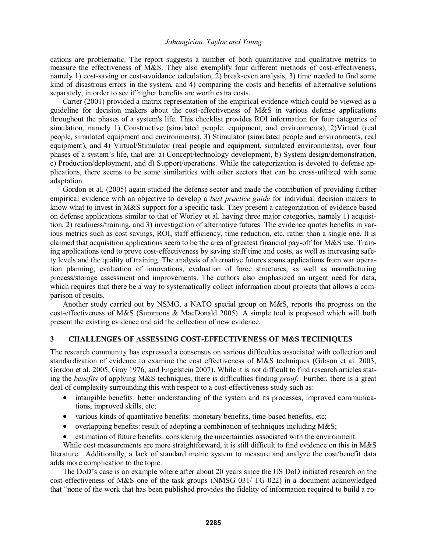cations are problematic. The report suggests a number of both quantitative and qualitative metrics to measure the effectiveness of M&S. They also exemplify four different methods of cost-effectiveness, namely 1) cost-saving or cost-avoidance calculation, 2) break-even analysis, 3) time needed to find some kind of disastrous errors in the system, and 4) comparing the costs and benefits of alternative solutions separately, in order to see if higher benefits are worth extra costs.

 Carter (2001) provided a matrix representation of the empirical evidence which could be viewed as a guideline for decision makers about the cost-effectiveness of M&S in various defense applications throughout the phases of a system's life. This checklist provides ROI information for four categories of simulation, namely 1) Constructive (simulated people, equipment, and environments), 2)Virtual (real people, simulated equipment and environments), 3) Stimulator (simulated people and environments, real equipment), and 4) Virtual/Stimulator (real people and equipment, simulated environments), over four phases of a system's life, that are: a) Concept/technology development, b) System design/demonstration, c) Production/deployment, and d) Support/operations. While the categorization is devoted to defense applications, there seems to be some similarities with other sectors that can be cross-utilized with some adaptation.

 Gordon et al. (2005) again studied the defense sector and made the contribution of providing further empirical evidence with an objective to develop a *best practice guide* for individual decision makers to know what to invest in M&S support for a specific task. They present a categorization of evidence based on defense applications similar to that of Worley et al. having three major categories, namely 1) acquisition, 2) readiness/training, and 3) investigation of alternative futures. The evidence quotes benefits in various metrics such as cost savings, ROI, staff efficiency, time reduction, etc. rather than a single one. It is claimed that acquisition applications seem to be the area of greatest financial pay-off for M&S use. Training applications tend to prove cost-effectiveness by saving staff time and costs, as well as increasing safety levels and the quality of training. The analysis of alternative futures spans applications from war operation planning, evaluation of innovations, evaluation of force structures, as well as manufacturing process/storage assessment and improvements. The authors also emphasized an urgent need for data, which requires that there be a way to systematically collect information about projects that allows a comparison of results.

 Another study carried out by NSMG, a NATO special group on M&S, reports the progress on the cost-effectiveness of M&S (Summons & MacDonald 2005). A simple tool is proposed which will both present the existing evidence and aid the collection of new evidence.

# **3 CHALLENGES OF ASSESSING COST-EFFECTIVENESS OF M&S TECHNIQUES**

The research community has expressed a consensus on various difficulties associated with collection and standardization of evidence to examine the cost effectiveness of M&S techniques (Gibson et al. 2003, Gordon et al. 2005, Gray 1976, and Engelstein 2007). While it is not difficult to find research articles stating the *benefits* of applying M&S techniques, there is difficulties finding *proof*. Further, there is a great deal of complexity surrounding this with respect to a cost-effectiveness study such as:

- intangible benefits: better understanding of the system and its processes, improved communications, improved skills, etc;
- various kinds of quantitative benefits: monetary benefits, time-based benefits, etc;
- overlapping benefits: result of adopting a combination of techniques including M&S;
- estimation of future benefits: considering the uncertainties associated with the environment.

 While cost measurements are more straightforward, it is still difficult to find evidence on this in M&S literature. Additionally, a lack of standard metric system to measure and analyze the cost/benefit data adds more complication to the topic.

The DoD's case is an example where after about 20 years since the US DoD initiated research on the cost-effectiveness of M&S one of the task groups (NMSG 031/ TG-022) in a document acknowledged that "none of the work that has been published provides the fidelity of information required to build a ro-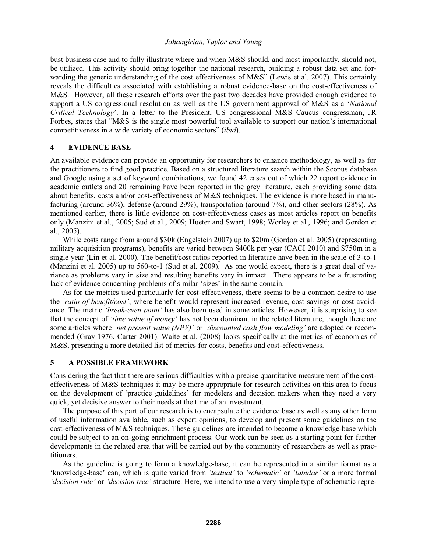bust business case and to fully illustrate where and when M&S should, and most importantly, should not, be utilized. This activity should bring together the national research, building a robust data set and forwarding the generic understanding of the cost effectiveness of  $M\&S'$  (Lewis et al. 2007). This certainly reveals the difficulties associated with establishing a robust evidence-base on the cost-effectiveness of M&S. However, all these research efforts over the past two decades have provided enough evidence to support a US congressional resolution as well as the US government approval of M&S as a 'National Critical Technology'. In a letter to the President, US congressional M&S Caucus congressman, JR Forbes, states that " $M&S$  is the single most powerful tool available to support our nation's international competitiveness in a wide variety of economic sectors" (ibid).

#### **4 EVIDENCE BASE**

An available evidence can provide an opportunity for researchers to enhance methodology, as well as for the practitioners to find good practice. Based on a structured literature search within the Scopus database and Google using a set of keyword combinations, we found 42 cases out of which 22 report evidence in academic outlets and 20 remaining have been reported in the grey literature, each providing some data about benefits, costs and/or cost-effectiveness of M&S techniques. The evidence is more based in manufacturing (around 36%), defense (around 29%), transportation (around 7%), and other sectors (28%). As mentioned earlier, there is little evidence on cost-effectiveness cases as most articles report on benefits only (Manzini et al., 2005; Sud et al., 2009; Hueter and Swart, 1998; Worley et al., 1996; and Gordon et al., 2005).

 While costs range from around \$30k (Engelstein 2007) up to \$20m (Gordon et al. 2005) (representing military acquisition programs), benefits are varied between \$400k per year (CACI 2010) and \$750m in a single year (Lin et al. 2000). The benefit/cost ratios reported in literature have been in the scale of 3-to-1 (Manzini et al. 2005) up to 560-to-1 (Sud et al. 2009). As one would expect, there is a great deal of variance as problems vary in size and resulting benefits vary in impact. There appears to be a frustrating lack of evidence concerning problems of similar 'sizes' in the same domain.

 As for the metrics used particularly for cost-effectiveness, there seems to be a common desire to use the 'ratio of benefit/cost', where benefit would represent increased revenue, cost savings or cost avoidance. The metric *'break-even point'* has also been used in some articles. However, it is surprising to see that the concept of 'time value of money' has not been dominant in the related literature, though there are some articles where 'net present value (NPV)' or 'discounted cash flow modeling' are adopted or recommended (Gray 1976, Carter 2001). Waite et al. (2008) looks specifically at the metrics of economics of M&S, presenting a more detailed list of metrics for costs, benefits and cost-effectiveness.

#### **5 A POSSIBLE FRAMEWORK**

Considering the fact that there are serious difficulties with a precise quantitative measurement of the costeffectiveness of M&S techniques it may be more appropriate for research activities on this area to focus on the development of 'practice guidelines' for modelers and decision makers when they need a very quick, yet decisive answer to their needs at the time of an investment.

 The purpose of this part of our research is to encapsulate the evidence base as well as any other form of useful information available, such as expert opinions, to develop and present some guidelines on the cost-effectiveness of M&S techniques. These guidelines are intended to become a knowledge-base which could be subject to an on-going enrichment process. Our work can be seen as a starting point for further developments in the related area that will be carried out by the community of researchers as well as practitioners.

 As the guideline is going to form a knowledge-base, it can be represented in a similar format as a 'knowledge-base' can, which is quite varied from 'textual' to 'schematic' or 'tabular' or a more formal 'decision rule' or 'decision tree' structure. Here, we intend to use a very simple type of schematic repre-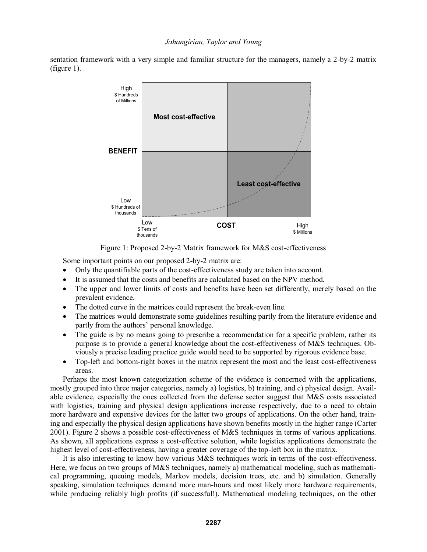sentation framework with a very simple and familiar structure for the managers, namely a 2-by-2 matrix (figure 1).



Figure 1: Proposed 2-by-2 Matrix framework for M&S cost-effectiveness

Some important points on our proposed 2-by-2 matrix are:

- $\bullet$ Only the quantifiable parts of the cost-effectiveness study are taken into account.
- $\bullet$ It is assumed that the costs and benefits are calculated based on the NPV method.
- $\bullet$  The upper and lower limits of costs and benefits have been set differently, merely based on the prevalent evidence.
- -The dotted curve in the matrices could represent the break-even line.
- - The matrices would demonstrate some guidelines resulting partly from the literature evidence and partly from the authors' personal knowledge.
- $\bullet$  The guide is by no means going to prescribe a recommendation for a specific problem, rather its purpose is to provide a general knowledge about the cost-effectiveness of M&S techniques. Obviously a precise leading practice guide would need to be supported by rigorous evidence base.
- $\bullet$  Top-left and bottom-right boxes in the matrix represent the most and the least cost-effectiveness areas.

 Perhaps the most known categorization scheme of the evidence is concerned with the applications, mostly grouped into three major categories, namely a) logistics, b) training, and c) physical design. Available evidence, especially the ones collected from the defense sector suggest that M&S costs associated with logistics, training and physical design applications increase respectively, due to a need to obtain more hardware and expensive devices for the latter two groups of applications. On the other hand, training and especially the physical design applications have shown benefits mostly in the higher range (Carter 2001). Figure 2 shows a possible cost-effectiveness of M&S techniques in terms of various applications. As shown, all applications express a cost-effective solution, while logistics applications demonstrate the highest level of cost-effectiveness, having a greater coverage of the top-left box in the matrix.

 It is also interesting to know how various M&S techniques work in terms of the cost-effectiveness. Here, we focus on two groups of M&S techniques, namely a) mathematical modeling, such as mathematical programming, queuing models, Markov models, decision trees, etc. and b) simulation. Generally speaking, simulation techniques demand more man-hours and most likely more hardware requirements, while producing reliably high profits (if successful!). Mathematical modeling techniques, on the other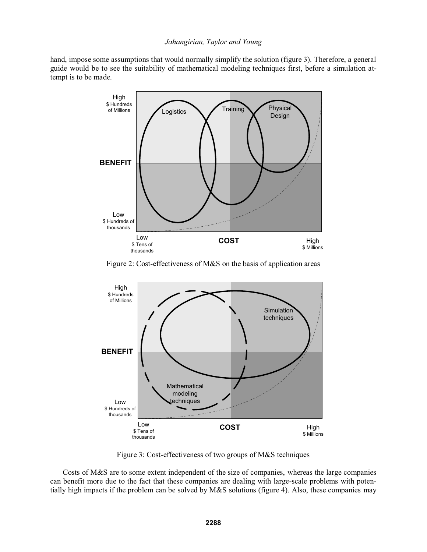hand, impose some assumptions that would normally simplify the solution (figure 3). Therefore, a general guide would be to see the suitability of mathematical modeling techniques first, before a simulation attempt is to be made.



Figure 2: Cost-effectiveness of M&S on the basis of application areas



Figure 3: Cost-effectiveness of two groups of M&S techniques

Costs of M&S are to some extent independent of the size of companies, whereas the large companies can benefit more due to the fact that these companies are dealing with large-scale problems with potentially high impacts if the problem can be solved by M&S solutions (figure 4). Also, these companies may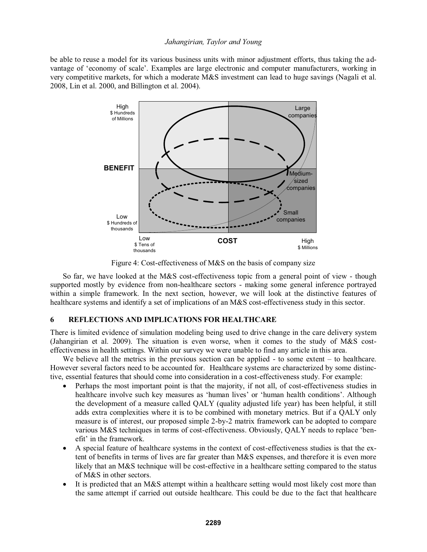be able to reuse a model for its various business units with minor adjustment efforts, thus taking the ad vantage of 'economy of scale'. Examples are large electronic and computer manufacturers, working in very competitive markets, for which a moderate M&S investment can lead to huge savings (Nagali et al. 2008, Lin et al. 2000, and Billington et al. 2004).



Figure 4: Cost-effectiveness of M&S on the basis of company size

 So far, we have looked at the M&S cost-effectiveness topic from a general point of view - though supported mostly by evidence from non-healthcare sectors - making some general inference portrayed within a simple framework. In the next section, however, we will look at the distinctive features of healthcare systems and identify a set of implications of an M&S cost-effectiveness study in this sector.

# **6 REFLECTIONS AND IMPLICATIONS FOR HEALTHCARE**

There is limited evidence of simulation modeling being used to drive change in the care delivery system (Jahangirian et al. 2009). The situation is even worse, when it comes to the study of M&S costeffectiveness in health settings. Within our survey we were unable to find any article in this area.

We believe all the metrics in the previous section can be applied  $-$  to some extent  $-$  to healthcare. However several factors need to be accounted for. Healthcare systems are characterized by some distinctive, essential features that should come into consideration in a cost-effectiveness study. For example:

- Perhaps the most important point is that the majority, if not all, of cost-effectiveness studies in healthcare involve such key measures as 'human lives' or 'human health conditions'. Although the development of a measure called QALY (quality adjusted life year) has been helpful, it still adds extra complexities where it is to be combined with monetary metrics. But if a QALY only measure is of interest, our proposed simple 2-by-2 matrix framework can be adopted to compare various M&S techniques in terms of cost-effectiveness. Obviously, QALY needs to replace 'benefit' in the framework.
- $\bullet$  A special feature of healthcare systems in the context of cost-effectiveness studies is that the extent of benefits in terms of lives are far greater than M&S expenses, and therefore it is even more likely that an M&S technique will be cost-effective in a healthcare setting compared to the status of M&S in other sectors.
- - It is predicted that an M&S attempt within a healthcare setting would most likely cost more than the same attempt if carried out outside healthcare. This could be due to the fact that healthcare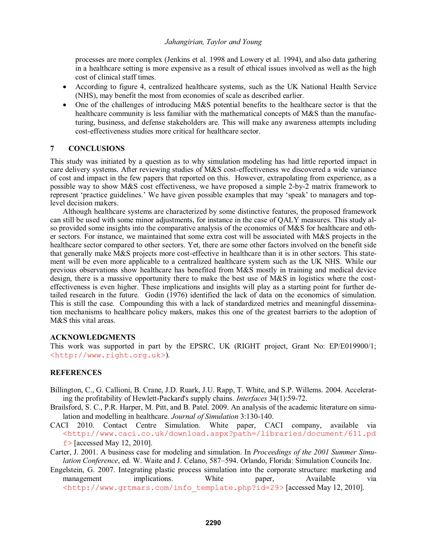processes are more complex (Jenkins et al. 1998 and Lowery et al. 1994), and also data gathering in a healthcare setting is more expensive as a result of ethical issues involved as well as the high cost of clinical staff times.

- $\bullet$  According to figure 4, centralized healthcare systems, such as the UK National Health Service (NHS), may benefit the most from economies of scale as described earlier.
- One of the challenges of introducing M&S potential benefits to the healthcare sector is that the healthcare community is less familiar with the mathematical concepts of M&S than the manufacturing, business, and defense stakeholders are. This will make any awareness attempts including cost-effectiveness studies more critical for healthcare sector.

# **7 CONCLUSIONS**

This study was initiated by a question as to why simulation modeling has had little reported impact in care delivery systems. After reviewing studies of M&S cost-effectiveness we discovered a wide variance of cost and impact in the few papers that reported on this. However, extrapolating from experience, as a possible way to show M&S cost effectiveness, we have proposed a simple 2-by-2 matrix framework to represent 'practice guidelines.' We have given possible examples that may 'speak' to managers and toplevel decision makers.

Although healthcare systems are characterized by some distinctive features, the proposed framework can still be used with some minor adjustments, for instance in the case of QALY measures. This study also provided some insights into the comparative analysis of the economics of M&S for healthcare and other sectors. For instance, we maintained that some extra cost will be associated with M&S projects in the healthcare sector compared to other sectors. Yet, there are some other factors involved on the benefit side that generally make M&S projects more cost-effective in healthcare than it is in other sectors. This statement will be even more applicable to a centralized healthcare system such as the UK NHS. While our previous observations show healthcare has benefited from M&S mostly in training and medical device design, there is a massive opportunity there to make the best use of M&S in logistics where the costeffectiveness is even higher. These implications and insights will play as a starting point for further detailed research in the future. Godin (1976) identified the lack of data on the economics of simulation. This is still the case. Compounding this with a lack of standardized metrics and meaningful dissemination mechanisms to healthcare policy makers, makes this one of the greatest barriers to the adoption of M&S this vital areas.

# **ACKNOWLEDGMENTS**

This work was supported in part by the EPSRC, UK (RIGHT project, Grant No: EP/E019900/1; <http://www.right.org.uk>).

# **REFERENCES**

- Billington, C., G. Callioni, B. Crane, J.D. Ruark, J.U. Rapp, T. White, and S.P. Willems. 2004. Accelerating the profitability of Hewlett-Packard's supply chains. *Interfaces* 34(1):59-72.
- Brailsford, S. C., P.R. Harper, M. Pitt, and B. Patel. 2009. An analysis of the academic literature on simulation and modelling in healthcare. *Journal of Simulation* 3:130-140.
- CACI 2010. Contact Centre Simulation. White paper, CACI company, available via <http://www.caci.co.uk/download.aspx?path=/libraries/document/611.pd  $f$  [accessed May 12, 2010].
- Carter, J. 2001. A business case for modeling and simulation. In *Proceedings of the 2001 Summer Simulation Conference*, ed. W. Waite and J. Celano, 587–594. Orlando, Florida: Simulation Councils Inc.
- Engelstein, G. 2007. Integrating plastic process simulation into the corporate structure: marketing and management implications. White paper, Available via  $\langle$ http://www.grtmars.com/info\_template.php?id=29> [accessed May 12, 2010].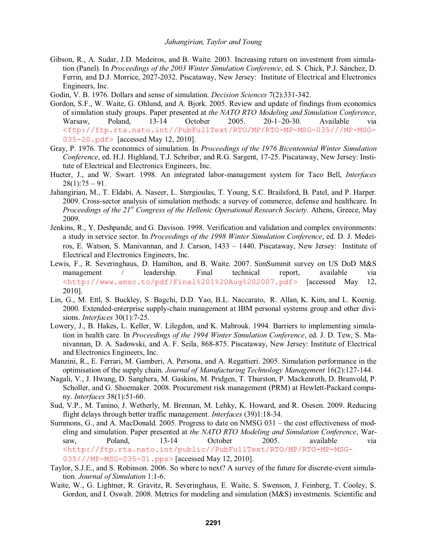- Gibson, R., A. Sudar, J.D. Medeiros, and B. Waite. 2003. Increasing return on investment from simulation (Panel). In *Proceedings of the 2003 Winter Simulation Conference*, ed. S. Chick, P.J. Sánchez, D. Ferrin, and D.J. Morrice, 2027-2032. Piscataway, New Jersey: Institute of Electrical and Electronics Engineers, Inc.
- Godin, V. B. 1976. Dollars and sense of simulation. *Decision Sciences* 7(2):331-342.
- Gordon, S.F., W. Waite, G. Ohlund, and A. Bjork. 2005. Review and update of findings from economics of simulation study groups. Paper presented at *the NATO RTO Modeling and Simulation Conference*, Warsaw, Poland, 13-14 October 2005. 20-1-20-30. Available via <ftp://ftp.rta.nato.int//PubFullText/RTO/MP/RTO-MP-MSG-035///MP-MSG-035-20.pdf> [accessed May 12, 2010].
- Gray, P. 1976. The economics of simulation. In *Proceedings of the 1976 Bicentennial Winter Simulation Conference*, ed. H.J. Highland, T.J. Schriber, and R.G. Sargent, 17-25. Piscataway, New Jersey: Institute of Electrical and Electronics Engineers, Inc.
- Hueter, J., and W. Swart. 1998. An integrated labor-management system for Taco Bell, *Interfaces*  $28(1):75 - 91.$
- Jahangirian, M., T. Eldabi, A. Naseer, L. Stergioulas, T. Young, S.C. Brailsford, B. Patel, and P. Harper. 2009. Cross-sector analysis of simulation methods: a survey of commerce, defense and healthcare. In *Proceedings of the 21st Congress of the Hellenic Operational Research Society.* Athens, Greece, May 2009.
- Jenkins, R., Y. Deshpande, and G. Davison. 1998. Verification and validation and complex environments: a study in service sector. In *Proceedings of the 1998 Winter Simulation Conference*, ed. D. J. Medeiros, E. Watson, S. Manivannan, and J. Carson, 1433 1440. Piscataway, New Jersey: Institute of Electrical and Electronics Engineers, Inc.
- Lewis, F., R. Severinghaus, D. Hamilton, and B. Waite. 2007. SimSummit survey on US DoD M&S management / leadership. Final technical report, available via <http://www.amsc.to/pdf/Final%201%20Aug%202007.pdf> [accessed May 12, 2010].
- Lin, G., M. Ettl, S. Buckley, S. Bagchi, D.D. Yao, B.L. Naccarato, R. Allan, K. Kim, and L. Koenig. 2000. Extended-enterprise supply-chain management at IBM personal systems group and other divisions. *Interfaces* 30(1):7-25.
- Lowery, J., B. Hakes, L. Keller, W. Lilegdon, and K. Mabrouk. 1994. Barriers to implementing simulation in health care. In *Proceedings of the 1994 Winter Simulation Conference*, ed. J. D. Tew, S. Manivannan, D. A. Sadowski, and A. F. Seila, 868-875. Piscataway, New Jersey: Institute of Electrical and Electronics Engineers, Inc.
- Manzini, R., E. Ferrari, M. Gamberi, A. Persona, and A. Regattieri. 2005. Simulation performance in the optimisation of the supply chain. *Journal of Manufacturing Technology Management* 16(2):127-144.
- Nagali, V., J. Hwang, D. Sanghera, M. Gaskins, M. Pridgen, T. Thurston, P. Mackenroth, D. Branvold, P. Scholler, and G. Shoemaker. 2008. Procurement risk management (PRM) at Hewlett-Packard company. *Interfaces* 38(1):51-60.
- Sud, V.P., M. Tanino, J. Wetherly, M. Brennan, M. Lehky, K. Howard, and R. Oiesen. 2009. Reducing flight delays through better traffic management. *Interfaces* (39)1:18-34.
- Summons, G., and A. MacDonald. 2005. Progress to date on NMSG  $031 -$  the cost effectiveness of modeling and simulation. Paper presented at *the NATO RTO Modeling and Simulation Conference*, Warsaw, Poland, 13-14 October 2005. available via <http://ftp.rta.nato.int/public//PubFullText/RTO/MP/RTO-MP-MSG-035///MP-MSG-035-01.pps> [accessed May 12, 2010].
- Taylor, S.J.E., and S. Robinson. 2006. So where to next? A survey of the future for discrete-event simulation. *Journal of Simulation* 1:1-6.
- Waite, W., G. Lightner, R. Gravitz, R. Severinghaus, E. Waite, S. Swenson, J. Feinberg, T. Cooley, S. Gordon, and I. Oswalt. 2008. Metrics for modeling and simulation (M&S) investments. Scientific and